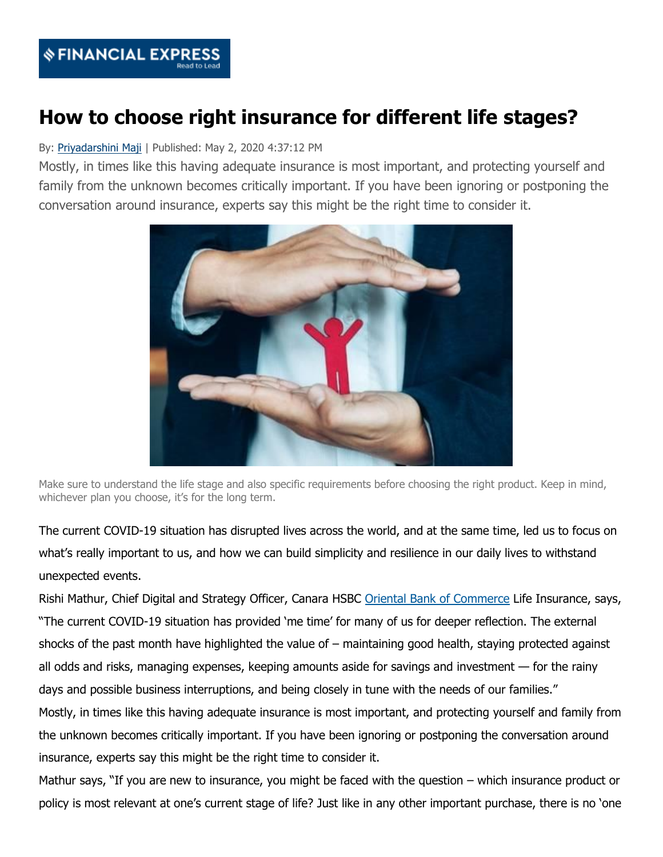

## **How to choose right insurance for different life stages?**

## By: [Priyadarshini Maji](https://www.financialexpress.com/author/priyadarshini/) | Published: May 2, 2020 4:37:12 PM

Mostly, in times like this having adequate insurance is most important, and protecting yourself and family from the unknown becomes critically important. If you have been ignoring or postponing the conversation around insurance, experts say this might be the right time to consider it.



Make sure to understand the life stage and also specific requirements before choosing the right product. Keep in mind, whichever plan you choose, it's for the long term.

The current COVID-19 situation has disrupted lives across the world, and at the same time, led us to focus on what's really important to us, and how we can build simplicity and resilience in our daily lives to withstand unexpected events.

Rishi Mathur, Chief Digital and Strategy Officer, Canara HSBC [Oriental Bank of Commerce](http://www.financialexpress.com/market/stock-market/oriental-bank-of-commerce-stock-price/) Life Insurance, says, "The current COVID-19 situation has provided 'me time' for many of us for deeper reflection. The external shocks of the past month have highlighted the value of – maintaining good health, staying protected against all odds and risks, managing expenses, keeping amounts aside for savings and investment — for the rainy days and possible business interruptions, and being closely in tune with the needs of our families." Mostly, in times like this having adequate insurance is most important, and protecting yourself and family from the unknown becomes critically important. If you have been ignoring or postponing the conversation around insurance, experts say this might be the right time to consider it.

Mathur says, "If you are new to insurance, you might be faced with the question – which insurance product or policy is most relevant at one's current stage of life? Just like in any other important purchase, there is no 'one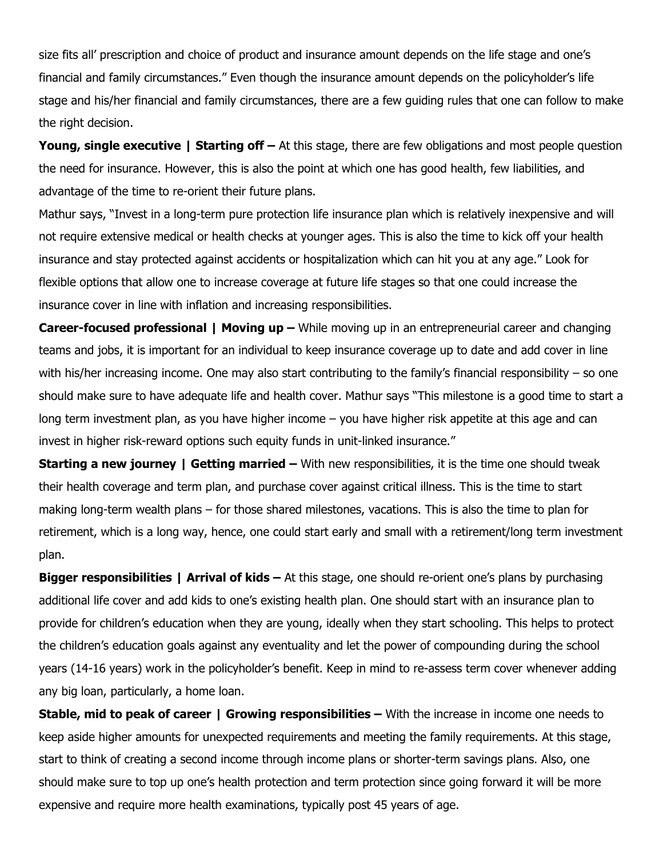size fits all' prescription and choice of product and insurance amount depends on the life stage and one's financial and family circumstances." Even though the insurance amount depends on the policyholder's life stage and his/her financial and family circumstances, there are a few guiding rules that one can follow to make the right decision.

**Young, single executive | Starting off** – At this stage, there are few obligations and most people question the need for insurance. However, this is also the point at which one has good health, few liabilities, and advantage of the time to re-orient their future plans.

Mathur says, "Invest in a long-term pure protection life insurance plan which is relatively inexpensive and will not require extensive medical or health checks at younger ages. This is also the time to kick off your health insurance and stay protected against accidents or hospitalization which can hit you at any age." Look for flexible options that allow one to increase coverage at future life stages so that one could increase the insurance cover in line with inflation and increasing responsibilities.

**Career-focused professional | Moving up – While moving up in an entrepreneurial career and changing** teams and jobs, it is important for an individual to keep insurance coverage up to date and add cover in line with his/her increasing income. One may also start contributing to the family's financial responsibility – so one should make sure to have adequate life and health cover. Mathur says "This milestone is a good time to start a long term investment plan, as you have higher income – you have higher risk appetite at this age and can invest in higher risk-reward options such equity funds in unit-linked insurance."

**Starting a new journey | Getting married – With new responsibilities, it is the time one should tweak** their health coverage and term plan, and purchase cover against critical illness. This is the time to start making long-term wealth plans – for those shared milestones, vacations. This is also the time to plan for retirement, which is a long way, hence, one could start early and small with a retirement/long term investment plan.

**Bigger responsibilities | Arrival of kids –** At this stage, one should re-orient one's plans by purchasing additional life cover and add kids to one's existing health plan. One should start with an insurance plan to provide for children's education when they are young, ideally when they start schooling. This helps to protect the children's education goals against any eventuality and let the power of compounding during the school years (14-16 years) work in the policyholder's benefit. Keep in mind to re-assess term cover whenever adding any big loan, particularly, a home loan.

**Stable, mid to peak of career | Growing responsibilities – With the increase in income one needs to** keep aside higher amounts for unexpected requirements and meeting the family requirements. At this stage, start to think of creating a second income through income plans or shorter-term savings plans. Also, one should make sure to top up one's health protection and term protection since going forward it will be more expensive and require more health examinations, typically post 45 years of age.